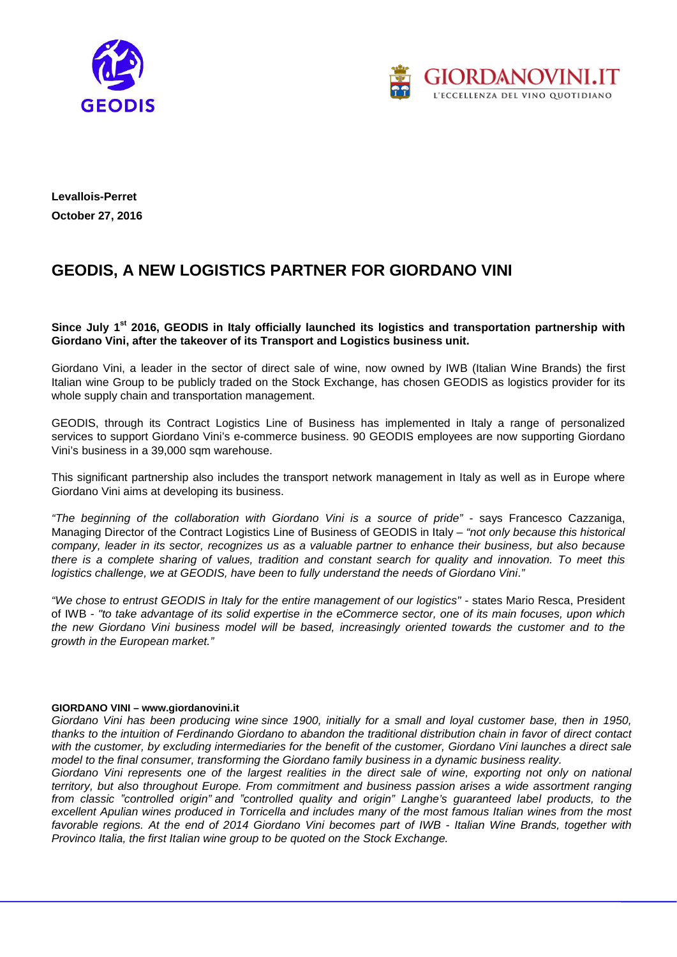



**Levallois-Perret October 27, 2016**

## **GEODIS, A NEW LOGISTICS PARTNER FOR GIORDANO VINI**

Since July 1<sup>st</sup> 2016, GEODIS in Italy officially launched its logistics and transportation partnership with **Giordano Vini, after the takeover of its Transport and Logistics business unit.**

Giordano Vini, a leader in the sector of direct sale of wine, now owned by IWB (Italian Wine Brands) the first Italian wine Group to be publicly traded on the Stock Exchange, has chosen GEODIS as logistics provider for its whole supply chain and transportation management.

GEODIS, through its Contract Logistics Line of Business has implemented in Italy a range of personalized services to support Giordano Vini's e-commerce business. 90 GEODIS employees are now supporting Giordano Vini's business in a 39,000 sqm warehouse.

This significant partnership also includes the transport network management in Italy as well as in Europe where Giordano Vini aims at developing its business.

*"The beginning of the collaboration with Giordano Vini is a source of pride" -* says Francesco Cazzaniga, Managing Director of the Contract Logistics Line of Business of GEODIS in Italy *– "not only because this historical company, leader in its sector, recognizes us as a valuable partner to enhance their business, but also because there is a complete sharing of values, tradition and constant search for quality and innovation. To meet this* logistics challenge, we at GEODIS, have been to fully understand the needs of Giordano Vini."

*"We chose to entrust GEODIS in Italy for the entire management of our logistics" -* states Mario Resca, President of IWB *- "to take advantage of its solid expertise in the eCommerce sector, one of its main focuses, upon which the new Giordano Vini business model will be based, increasingly oriented towards the customer and to the growth in the European market."*

## **GIORDANO VINI – [www.giordanovini.it](http://www.giordanovini.it/)**

*Giordano Vini has been producing wine since 1900, initially for a small and loyal customer base, then in 1950, thanks to the intuition of Ferdinando Giordano to abandon the traditional distribution chain in favor of direct contact with the customer, by excluding intermediaries for the benefit of the customer, Giordano Vini launches a direct sale model to the final consumer, transforming the Giordano family business in a dynamic business reality.*

*Giordano Vini represents one of the largest realities in the direct sale of wine, exporting not only on national territory, but also throughout Europe. From commitment and business passion arises a wide assortment ranging from classic "controlled origin" and "controlled quality and origin" Langhe's guaranteed label products, to the excellent Apulian wines produced in Torricella and includes many of the most famous Italian wines from the most favorable regions. At the end of 2014 Giordano Vini becomes part of IWB - Italian Wine Brands, together with Provinco Italia, the first Italian wine group to be quoted on the Stock Exchange.*